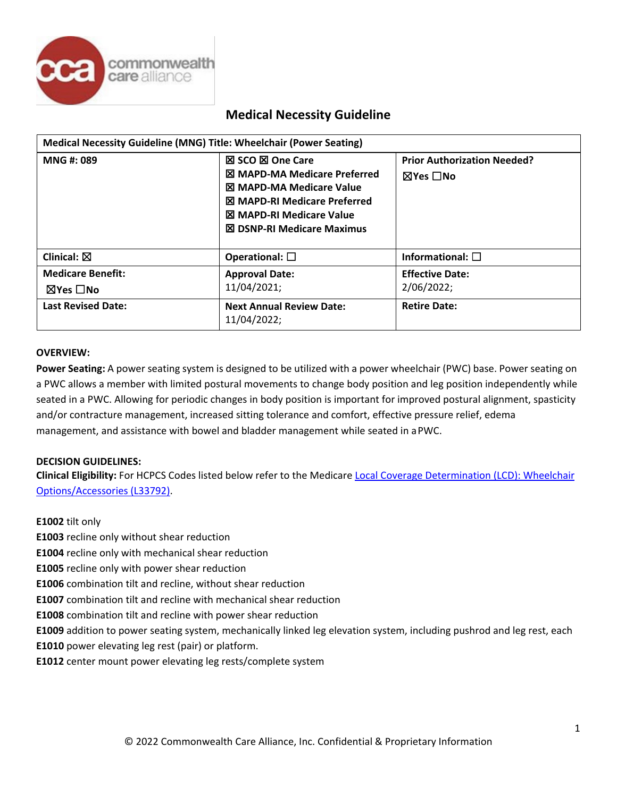

| Medical Necessity Guideline (MNG) Title: Wheelchair (Power Seating) |                                                                                                                                                                                                                  |                                                                 |  |  |
|---------------------------------------------------------------------|------------------------------------------------------------------------------------------------------------------------------------------------------------------------------------------------------------------|-----------------------------------------------------------------|--|--|
| MNG #: 089                                                          | <b>⊠ SCO ⊠ One Care</b><br><b>X</b> MAPD-MA Medicare Preferred<br><b>X MAPD-MA Medicare Value</b><br><b>⊠ MAPD-RI Medicare Preferred</b><br><b>図 MAPD-RI Medicare Value</b><br><b>⊠ DSNP-RI Medicare Maximus</b> | <b>Prior Authorization Needed?</b><br>$\boxtimes$ Yes $\Box$ No |  |  |
| Clinical: $\boxtimes$                                               | Operational: $\square$                                                                                                                                                                                           | Informational: $\square$                                        |  |  |
| <b>Medicare Benefit:</b><br>$\boxtimes$ Yes $\Box$ No               | <b>Approval Date:</b><br>11/04/2021;                                                                                                                                                                             | <b>Effective Date:</b><br>2/06/2022;                            |  |  |
| <b>Last Revised Date:</b>                                           | <b>Next Annual Review Date:</b><br>11/04/2022;                                                                                                                                                                   | <b>Retire Date:</b>                                             |  |  |

### **OVERVIEW:**

**Power Seating:** A power seating system is designed to be utilized with a power wheelchair (PWC) base. Power seating on a PWC allows a member with limited postural movements to change body position and leg position independently while seated in a PWC. Allowing for periodic changes in body position is important for improved postural alignment, spasticity and/or contracture management, increased sitting tolerance and comfort, effective pressure relief, edema management, and assistance with bowel and bladder management while seated in aPWC.

### **DECISION GUIDELINES:**

**Clinical Eligibility:** For HCPCS Codes listed below refer to the Medicare [Local Coverage Determination \(LCD\): Wheelchair](https://med.noridianmedicare.com/documents/2230703/7218263/Wheelchair%2BOptions%2BAccessories%2BLCD%2Band%2BPA) [Options/Accessories \(L33792\).](https://med.noridianmedicare.com/documents/2230703/7218263/Wheelchair%2BOptions%2BAccessories%2BLCD%2Band%2BPA)

### **E1002** tilt only

- **E1003** recline only without shear reduction
- **E1004** recline only with mechanical shear reduction
- **E1005** recline only with power shear reduction
- **E1006** combination tilt and recline, without shear reduction
- **E1007** combination tilt and recline with mechanical shear reduction
- **E1008** combination tilt and recline with power shear reduction
- **E1009** addition to power seating system, mechanically linked leg elevation system, including pushrod and leg rest, each
- **E1010** power elevating leg rest (pair) or platform.
- **E1012** center mount power elevating leg rests/complete system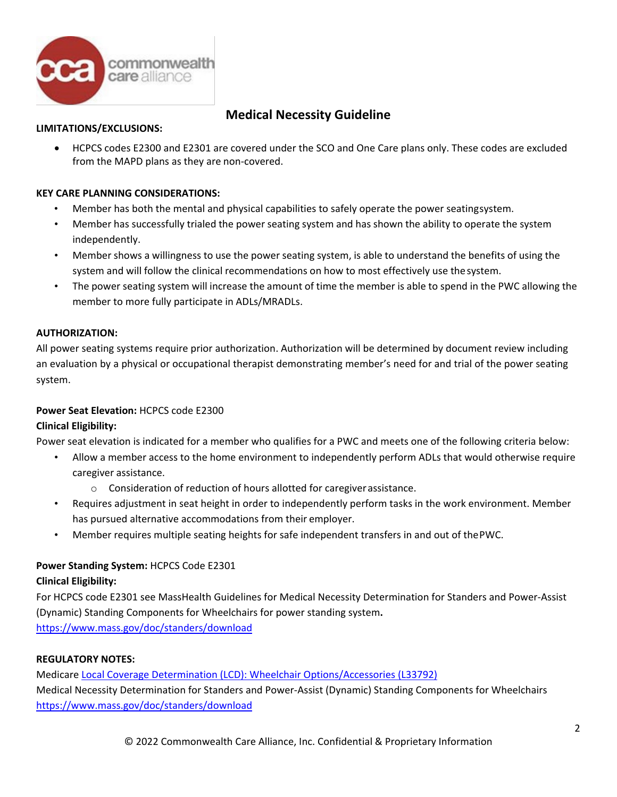

### **LIMITATIONS/EXCLUSIONS:**

• HCPCS codes E2300 and E2301 are covered under the SCO and One Care plans only. These codes are excluded from the MAPD plans as they are non-covered.

# **KEY CARE PLANNING CONSIDERATIONS:**

- Member has both the mental and physical capabilities to safely operate the power seatingsystem.
- Member has successfully trialed the power seating system and has shown the ability to operate the system independently.
- Member shows a willingness to use the power seating system, is able to understand the benefits of using the system and will follow the clinical recommendations on how to most effectively use thesystem.
- The power seating system will increase the amount of time the member is able to spend in the PWC allowing the member to more fully participate in ADLs/MRADLs.

# **AUTHORIZATION:**

All power seating systems require prior authorization. Authorization will be determined by document review including an evaluation by a physical or occupational therapist demonstrating member's need for and trial of the power seating system.

# **Power Seat Elevation:** HCPCS code E2300

# **Clinical Eligibility:**

Power seat elevation is indicated for a member who qualifies for a PWC and meets one of the following criteria below:

- Allow a member access to the home environment to independently perform ADLs that would otherwise require caregiver assistance.
	- o Consideration of reduction of hours allotted for caregiverassistance.
- Requires adjustment in seat height in order to independently perform tasks in the work environment. Member has pursued alternative accommodations from their employer.
- Member requires multiple seating heights for safe independent transfers in and out of thePWC.

# **Power Standing System:** HCPCS Code E2301

# **Clinical Eligibility:**

For HCPCS code E2301 see MassHealth Guidelines for Medical Necessity Determination for Standers and Power-Assist (Dynamic) Standing Components for Wheelchairs for power standing system**.**  <https://www.mass.gov/doc/standers/download>

### **REGULATORY NOTES:**

Medicare [Local Coverage Determination \(LCD\): Wheelchair Options/Accessories \(L33792\)](https://med.noridianmedicare.com/documents/2230703/7218263/Wheelchair%2BOptions%2BAccessories%2BLCD%2Band%2BPA) Medical Necessity Determination for Standers and Power-Assist (Dynamic) Standing Components for Wheelchairs <https://www.mass.gov/doc/standers/download>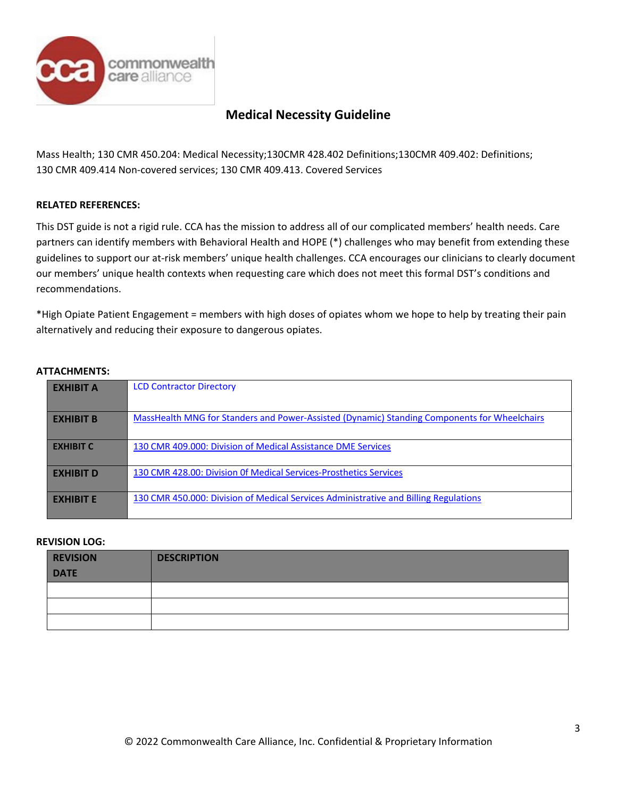

Mass Health; 130 CMR 450.204: Medical Necessity;130CMR 428.402 Definitions;130CMR 409.402: Definitions; 130 CMR 409.414 Non-covered services; 130 CMR 409.413. Covered Services

### **RELATED REFERENCES:**

This DST guide is not a rigid rule. CCA has the mission to address all of our complicated members' health needs. Care partners can identify members with Behavioral Health and HOPE (\*) challenges who may benefit from extending these guidelines to support our at-risk members' unique health challenges. CCA encourages our clinicians to clearly document our members' unique health contexts when requesting care which does not meet this formal DST's conditions and recommendations.

\*High Opiate Patient Engagement = members with high doses of opiates whom we hope to help by treating their pain alternatively and reducing their exposure to dangerous opiates.

### **ATTACHMENTS:**

| <b>EXHIBIT A</b> | <b>LCD Contractor Directory</b>                                                              |
|------------------|----------------------------------------------------------------------------------------------|
| <b>EXHIBIT B</b> | MassHealth MNG for Standers and Power-Assisted (Dynamic) Standing Components for Wheelchairs |
| <b>EXHIBIT C</b> | 130 CMR 409.000: Division of Medical Assistance DME Services                                 |
| <b>EXHIBIT D</b> | 130 CMR 428.00: Division Of Medical Services-Prosthetics Services                            |
| <b>FXHIBIT F</b> | 130 CMR 450.000: Division of Medical Services Administrative and Billing Regulations         |

### **REVISION LOG:**

| <b>REVISION</b> | <b>DESCRIPTION</b> |
|-----------------|--------------------|
| <b>DATE</b>     |                    |
|                 |                    |
|                 |                    |
|                 |                    |